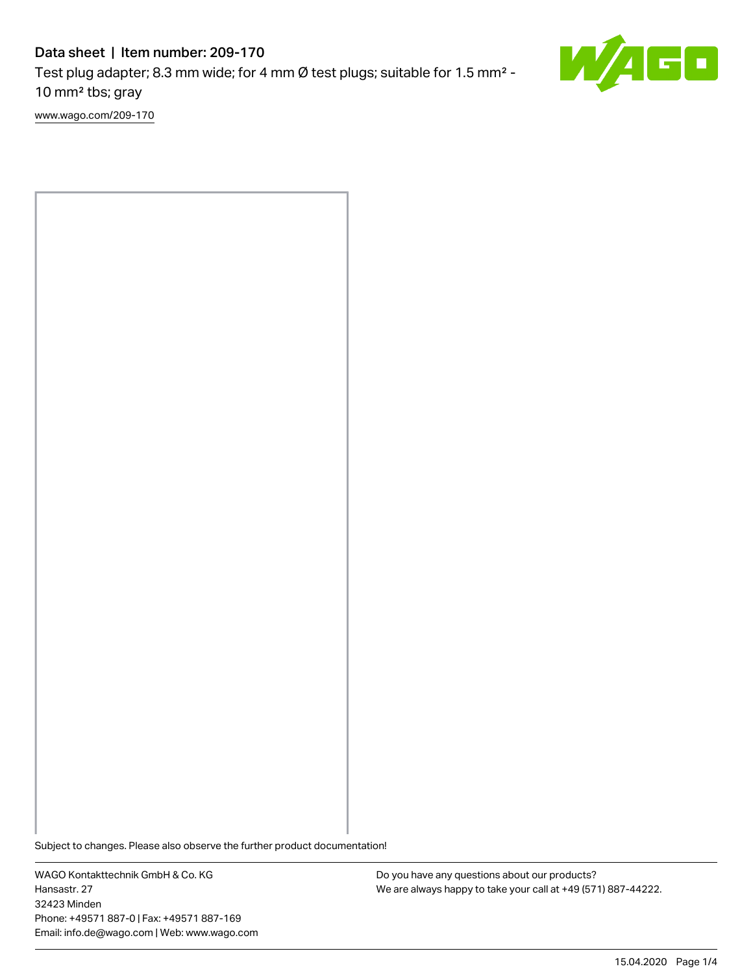# Data sheet | Item number: 209-170

Test plug adapter; 8.3 mm wide; for 4 mm Ø test plugs; suitable for 1.5 mm² - 10 mm² tbs; gray

[www.wago.com/209-170](http://www.wago.com/209-170)



WAGO Kontakttechnik GmbH & Co. KG Hansastr. 27 32423 Minden Phone: +49571 887-0 | Fax: +49571 887-169 Email: info.de@wago.com | Web: www.wago.com

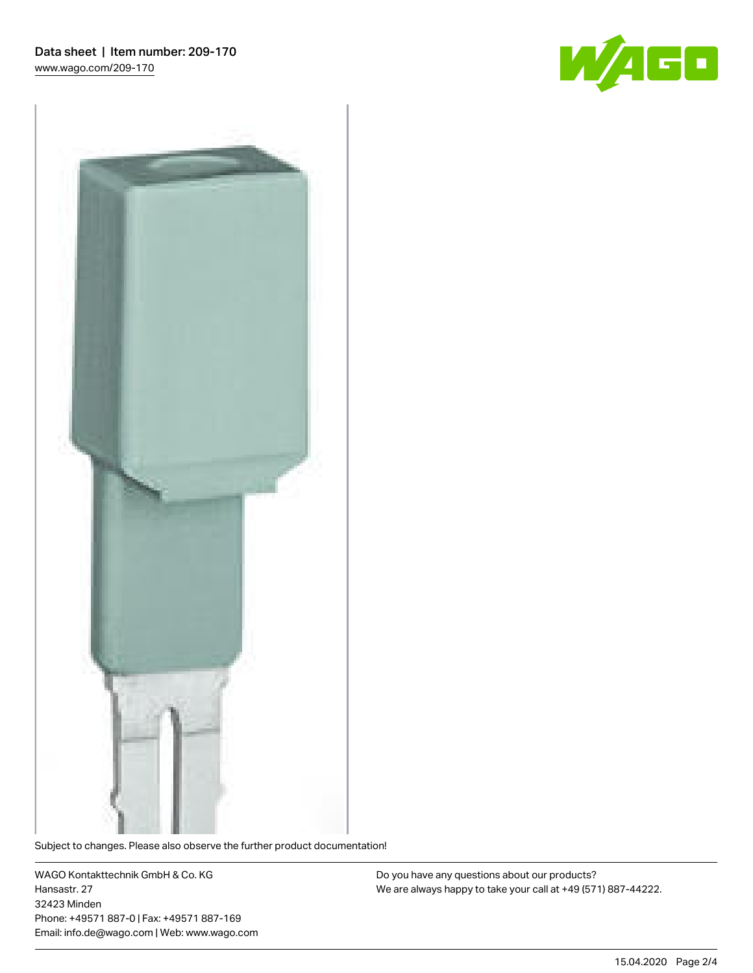



Subject to changes. Please also observe the further product documentation!

WAGO Kontakttechnik GmbH & Co. KG Hansastr. 27 32423 Minden Phone: +49571 887-0 | Fax: +49571 887-169 Email: info.de@wago.com | Web: www.wago.com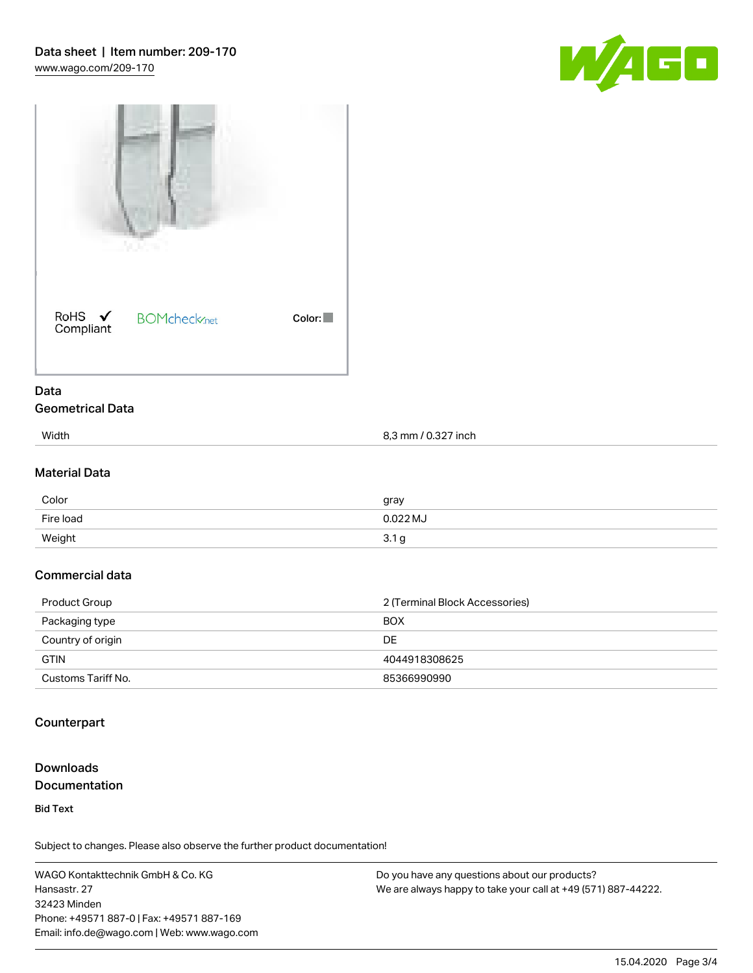



#### Data Geometrical Data

| Width | 8,3 mm / 0.327 inch |
|-------|---------------------|

### Material Data

| Color     | gray            |
|-----------|-----------------|
| Fire load | $0.022$ MJ      |
| Weight    | $\sim$<br>3.1 g |

### Commercial data

| Product Group      | 2 (Terminal Block Accessories) |
|--------------------|--------------------------------|
| Packaging type     | <b>BOX</b>                     |
| Country of origin  | DE                             |
| <b>GTIN</b>        | 4044918308625                  |
| Customs Tariff No. | 85366990990                    |

### Counterpart

#### Downloads Documentation

Bid Text

Subject to changes. Please also observe the further product documentation!

WAGO Kontakttechnik GmbH & Co. KG Hansastr. 27 32423 Minden Phone: +49571 887-0 | Fax: +49571 887-169 Email: info.de@wago.com | Web: www.wago.com